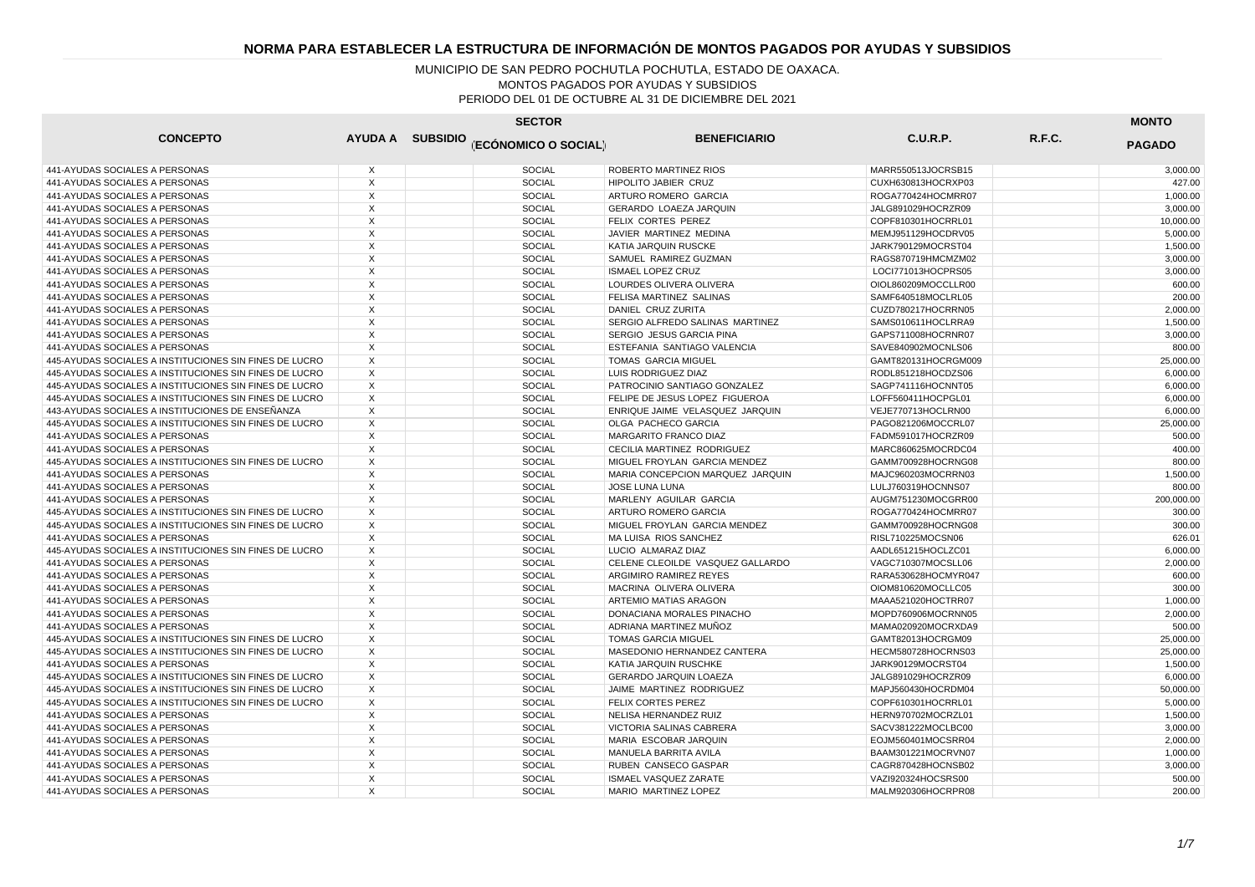| <b>SECTOR</b>                                          |                |  |                                       |                                  |                     |        |               |
|--------------------------------------------------------|----------------|--|---------------------------------------|----------------------------------|---------------------|--------|---------------|
| <b>CONCEPTO</b>                                        |                |  | AYUDA A SUBSIDIO (ECÓNOMICO O SOCIAL) | <b>BENEFICIARIO</b>              | C.U.R.P.            | R.F.C. | <b>PAGADO</b> |
| 441-AYUDAS SOCIALES A PERSONAS                         | X              |  | <b>SOCIAL</b>                         | ROBERTO MARTINEZ RIOS            | MARR550513JOCRSB15  |        | 3,000.00      |
| 441-AYUDAS SOCIALES A PERSONAS                         | $\overline{X}$ |  | <b>SOCIAL</b>                         | <b>HIPOLITO JABIER CRUZ</b>      | CUXH630813HOCRXP03  |        | 427.00        |
| 441-AYUDAS SOCIALES A PERSONAS                         | X              |  | SOCIAL                                | ARTURO ROMERO GARCIA             | ROGA770424HOCMRR07  |        | 1,000.00      |
| 441-AYUDAS SOCIALES A PERSONAS                         | $\overline{X}$ |  | <b>SOCIAL</b>                         | <b>GERARDO LOAEZA JARQUIN</b>    | JALG891029HOCRZR09  |        | 3.000.00      |
| 441-AYUDAS SOCIALES A PERSONAS                         | X              |  | <b>SOCIAL</b>                         | FELIX CORTES PEREZ               | COPF810301HOCRRL01  |        | 10,000.00     |
| 441-AYUDAS SOCIALES A PERSONAS                         | X              |  | <b>SOCIAL</b>                         | JAVIER MARTINEZ MEDINA           | MEMJ951129HOCDRV05  |        | 5,000.00      |
| 441-AYUDAS SOCIALES A PERSONAS                         | X              |  | SOCIAL                                | KATIA JARQUIN RUSCKE             | JARK790129MOCRST04  |        | 1,500.00      |
| 441-AYUDAS SOCIALES A PERSONAS                         | X              |  | <b>SOCIAL</b>                         | SAMUEL RAMIREZ GUZMAN            | RAGS870719HMCMZM02  |        | 3,000.00      |
| 441-AYUDAS SOCIALES A PERSONAS                         | $\mathsf X$    |  | <b>SOCIAL</b>                         | <b>ISMAEL LOPEZ CRUZ</b>         | LOCI771013HOCPRS05  |        | 3,000.00      |
| 441-AYUDAS SOCIALES A PERSONAS                         | X              |  | <b>SOCIAL</b>                         | LOURDES OLIVERA OLIVERA          | OIOL860209MOCCLLR00 |        | 600.00        |
| 441-AYUDAS SOCIALES A PERSONAS                         | $\mathsf{X}$   |  | <b>SOCIAL</b>                         | FELISA MARTINEZ SALINAS          | SAMF640518MOCLRL05  |        | 200.00        |
| 441-AYUDAS SOCIALES A PERSONAS                         | X              |  | <b>SOCIAL</b>                         | DANIEL CRUZ ZURITA               | CUZD780217HOCRRN05  |        | 2,000.00      |
| 441-AYUDAS SOCIALES A PERSONAS                         | X              |  | <b>SOCIAL</b>                         | SERGIO ALFREDO SALINAS MARTINEZ  | SAMS010611HOCLRRA9  |        | 1,500.00      |
| 441-AYUDAS SOCIALES A PERSONAS                         | X              |  | <b>SOCIAL</b>                         | SERGIO JESUS GARCIA PINA         | GAPS711008HOCRNR07  |        | 3,000.00      |
| 441-AYUDAS SOCIALES A PERSONAS                         | $\overline{X}$ |  | <b>SOCIAL</b>                         | ESTEFANIA SANTIAGO VALENCIA      | SAVE840902MOCNLS06  |        | 800.00        |
| 445-AYUDAS SOCIALES A INSTITUCIONES SIN FINES DE LUCRO | X              |  | <b>SOCIAL</b>                         | TOMAS GARCIA MIGUEL              | GAMT820131HOCRGM009 |        | 25,000.00     |
| 445-AYUDAS SOCIALES A INSTITUCIONES SIN FINES DE LUCRO | $\overline{X}$ |  | <b>SOCIAL</b>                         | LUIS RODRIGUEZ DIAZ              | RODL851218HOCDZS06  |        | 6,000.00      |
| 445-AYUDAS SOCIALES A INSTITUCIONES SIN FINES DE LUCRO | X              |  | <b>SOCIAL</b>                         | PATROCINIO SANTIAGO GONZALEZ     | SAGP741116HOCNNT05  |        | 6,000.00      |
| 445-AYUDAS SOCIALES A INSTITUCIONES SIN FINES DE LUCRO | $\times$       |  | SOCIAL                                | FELIPE DE JESUS LOPEZ FIGUEROA   | LOFF560411HOCPGL01  |        | 6,000.00      |
| 443-AYUDAS SOCIALES A INSTITUCIONES DE ENSEÑANZA       | X              |  | <b>SOCIAL</b>                         | ENRIQUE JAIME VELASQUEZ JARQUIN  | VEJE770713HOCLRN00  |        | 6,000.00      |
| 445-AYUDAS SOCIALES A INSTITUCIONES SIN FINES DE LUCRO | X              |  | <b>SOCIAL</b>                         | OLGA PACHECO GARCIA              | PAGO821206MOCCRL07  |        | 25,000.00     |
| 441-AYUDAS SOCIALES A PERSONAS                         | X              |  | <b>SOCIAL</b>                         | MARGARITO FRANCO DIAZ            | FADM591017HOCRZR09  |        | 500.00        |
| 441-AYUDAS SOCIALES A PERSONAS                         | $\times$       |  | <b>SOCIAL</b>                         | CECILIA MARTINEZ RODRIGUEZ       | MARC860625MOCRDC04  |        | 400.00        |
| 445-AYUDAS SOCIALES A INSTITUCIONES SIN FINES DE LUCRO | $\times$       |  | <b>SOCIAL</b>                         | MIGUEL FROYLAN GARCIA MENDEZ     | GAMM700928HOCRNG08  |        | 800.00        |
| 441-AYUDAS SOCIALES A PERSONAS                         | $\times$       |  | <b>SOCIAL</b>                         | MARIA CONCEPCION MARQUEZ JARQUIN | MAJC960203MOCRRN03  |        | 1.500.00      |
| 441-AYUDAS SOCIALES A PERSONAS                         | X              |  | <b>SOCIAL</b>                         | JOSE LUNA LUNA                   | LULJ760319HOCNNS07  |        | 800.00        |
| 441-AYUDAS SOCIALES A PERSONAS                         | $\times$       |  | <b>SOCIAL</b>                         | MARLENY AGUILAR GARCIA           | AUGM751230MOCGRR00  |        | 200.000.00    |
| 445-AYUDAS SOCIALES A INSTITUCIONES SIN FINES DE LUCRO | X              |  | <b>SOCIAL</b>                         | ARTURO ROMERO GARCIA             | ROGA770424HOCMRR07  |        | 300.00        |
| 445-AYUDAS SOCIALES A INSTITUCIONES SIN FINES DE LUCRO | $\times$       |  | <b>SOCIAL</b>                         | MIGUEL FROYLAN GARCIA MENDEZ     | GAMM700928HOCRNG08  |        | 300.00        |
| 441-AYUDAS SOCIALES A PERSONAS                         | X              |  | SOCIAL                                | MA LUISA RIOS SANCHEZ            | RISL710225MOCSN06   |        | 626.01        |
| 445-AYUDAS SOCIALES A INSTITUCIONES SIN FINES DE LUCRO | $\times$       |  | <b>SOCIAL</b>                         | LUCIO ALMARAZ DIAZ               | AADL651215HOCLZC01  |        | 6.000.00      |
| 441-AYUDAS SOCIALES A PERSONAS                         | X              |  | SOCIAL                                | CELENE CLEOILDE VASQUEZ GALLARDO | VAGC710307MOCSLL06  |        | 2,000.00      |
| 441-AYUDAS SOCIALES A PERSONAS                         | $\times$       |  | <b>SOCIAL</b>                         | ARGIMIRO RAMIREZ REYES           | RARA530628HOCMYR047 |        | 600.00        |
| 441-AYUDAS SOCIALES A PERSONAS                         | X              |  | <b>SOCIAL</b>                         | MACRINA OLIVERA OLIVERA          | OIOM810620MOCLLC05  |        | 300.00        |
| 441-AYUDAS SOCIALES A PERSONAS                         | $\times$       |  | <b>SOCIAL</b>                         | ARTEMIO MATIAS ARAGON            | MAAA521020HOCTRR07  |        | 1,000.00      |
| 441-AYUDAS SOCIALES A PERSONAS                         | X              |  | <b>SOCIAL</b>                         | DONACIANA MORALES PINACHO        | MOPD760906MOCRNN05  |        | 2,000.00      |
| 441-AYUDAS SOCIALES A PERSONAS                         | $\times$       |  | <b>SOCIAL</b>                         | ADRIANA MARTINEZ MUÑOZ           | MAMA020920MOCRXDA9  |        | 500.00        |
| 445-AYUDAS SOCIALES A INSTITUCIONES SIN FINES DE LUCRO | X              |  | <b>SOCIAL</b>                         | <b>TOMAS GARCIA MIGUEL</b>       | GAMT82013HOCRGM09   |        | 25,000.00     |
| 445-AYUDAS SOCIALES A INSTITUCIONES SIN FINES DE LUCRO | X              |  | <b>SOCIAL</b>                         | MASEDONIO HERNANDEZ CANTERA      | HECM580728HOCRNS03  |        | 25,000.00     |
| 441-AYUDAS SOCIALES A PERSONAS                         | $\mathsf{x}$   |  | <b>SOCIAL</b>                         | KATIA JARQUIN RUSCHKE            | JARK90129MOCRST04   |        | 1,500.00      |
| 445-AYUDAS SOCIALES A INSTITUCIONES SIN FINES DE LUCRO | X              |  | <b>SOCIAL</b>                         | <b>GERARDO JARQUIN LOAEZA</b>    | JALG891029HOCRZR09  |        | 6,000.00      |
| 445-AYUDAS SOCIALES A INSTITUCIONES SIN FINES DE LUCRO | $\mathsf{X}$   |  | <b>SOCIAL</b>                         | JAIME MARTINEZ RODRIGUEZ         | MAPJ560430HOCRDM04  |        | 50,000.00     |
| 445-AYUDAS SOCIALES A INSTITUCIONES SIN FINES DE LUCRO | X              |  | <b>SOCIAL</b>                         | FELIX CORTES PEREZ               | COPF610301HOCRRL01  |        | 5,000.00      |
| 441-AYUDAS SOCIALES A PERSONAS                         | X              |  | <b>SOCIAL</b>                         | NELISA HERNANDEZ RUIZ            | HERN970702MOCRZL01  |        | 1,500.00      |
| 441-AYUDAS SOCIALES A PERSONAS                         | X              |  | <b>SOCIAL</b>                         | VICTORIA SALINAS CABRERA         | SACV381222MOCLBC00  |        | 3,000.00      |
| 441-AYUDAS SOCIALES A PERSONAS                         | $\times$       |  | <b>SOCIAL</b>                         | MARIA ESCOBAR JARQUIN            | EOJM560401MOCSRR04  |        | 2,000.00      |
| 441-AYUDAS SOCIALES A PERSONAS                         | $\times$       |  | <b>SOCIAL</b>                         | MANUELA BARRITA AVILA            | BAAM301221MOCRVN07  |        | 1,000.00      |
| 441-AYUDAS SOCIALES A PERSONAS                         | $\times$       |  | <b>SOCIAL</b>                         | RUBEN CANSECO GASPAR             | CAGR870428HOCNSB02  |        | 3.000.00      |
| 441-AYUDAS SOCIALES A PERSONAS                         | $\times$       |  | <b>SOCIAL</b>                         | ISMAEL VASQUEZ ZARATE            | VAZI920324HOCSRS00  |        | 500.00        |
| 441-AYUDAS SOCIALES A PERSONAS                         | $\times$       |  | <b>SOCIAL</b>                         | MARIO MARTINEZ LOPEZ             | MALM920306HOCRPR08  |        | 200.00        |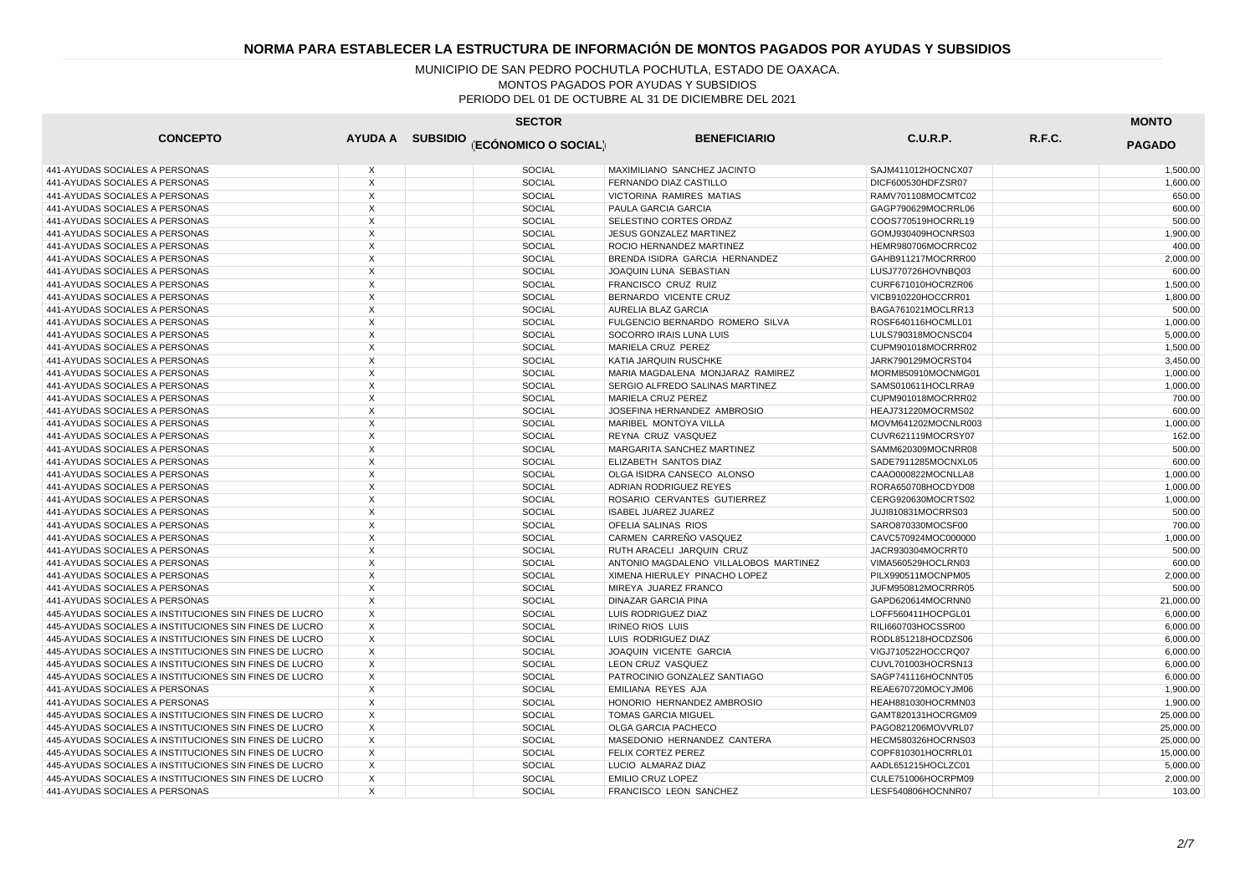| <b>SECTOR</b>                                          |                         |  |                                       |                                       |                     |        |               |
|--------------------------------------------------------|-------------------------|--|---------------------------------------|---------------------------------------|---------------------|--------|---------------|
| <b>CONCEPTO</b>                                        |                         |  | AYUDA A SUBSIDIO (ECÓNOMICO O SOCIAL) | <b>BENEFICIARIO</b>                   | C.U.R.P.            | R.F.C. | <b>PAGADO</b> |
| 441-AYUDAS SOCIALES A PERSONAS                         | X                       |  | <b>SOCIAL</b>                         | MAXIMILIANO SANCHEZ JACINTO           | SAJM411012HOCNCX07  |        | 1,500.00      |
| 441-AYUDAS SOCIALES A PERSONAS                         | $\mathsf{X}$            |  | <b>SOCIAL</b>                         | FERNANDO DIAZ CASTILLO                | DICF600530HDFZSR07  |        | 1,600.00      |
| 441-AYUDAS SOCIALES A PERSONAS                         | X                       |  | <b>SOCIAL</b>                         | VICTORINA RAMIRES MATIAS              | RAMV701108MOCMTC02  |        | 650.00        |
| 441-AYUDAS SOCIALES A PERSONAS                         | $\overline{X}$          |  | <b>SOCIAL</b>                         | PAULA GARCIA GARCIA                   | GAGP790629MOCRRL06  |        | 600.00        |
| 441-AYUDAS SOCIALES A PERSONAS                         | X                       |  | <b>SOCIAL</b>                         | SELESTINO CORTES ORDAZ                | COOS770519HOCRRL19  |        | 500.00        |
| 441-AYUDAS SOCIALES A PERSONAS                         | $\mathsf X$             |  | <b>SOCIAL</b>                         | JESUS GONZALEZ MARTINEZ               | GOMJ930409HOCNRS03  |        | 1,900.00      |
| 441-AYUDAS SOCIALES A PERSONAS                         | X                       |  | <b>SOCIAL</b>                         | ROCIO HERNANDEZ MARTINEZ              | HEMR980706MOCRRC02  |        | 400.00        |
| 441-AYUDAS SOCIALES A PERSONAS                         | X                       |  | <b>SOCIAL</b>                         | BRENDA ISIDRA GARCIA HERNANDEZ        | GAHB911217MOCRRR00  |        | 2,000.00      |
| 441-AYUDAS SOCIALES A PERSONAS                         | $\times$                |  | <b>SOCIAL</b>                         | JOAQUIN LUNA SEBASTIAN                | LUSJ770726HOVNBQ03  |        | 600.00        |
| 441-AYUDAS SOCIALES A PERSONAS                         | X                       |  | <b>SOCIAL</b>                         | FRANCISCO CRUZ RUIZ                   | CURF671010HOCRZR06  |        | 1,500.00      |
| 441-AYUDAS SOCIALES A PERSONAS                         | X                       |  | <b>SOCIAL</b>                         | BERNARDO VICENTE CRUZ                 | VICB910220HOCCRR01  |        | 1,800.00      |
| 441-AYUDAS SOCIALES A PERSONAS                         | X                       |  | SOCIAL                                | AURELIA BLAZ GARCIA                   | BAGA761021MOCLRR13  |        | 500.00        |
| 441-AYUDAS SOCIALES A PERSONAS                         | $\times$                |  | <b>SOCIAL</b>                         | FULGENCIO BERNARDO ROMERO SILVA       | ROSF640116HOCMLL01  |        | 1,000.00      |
| 441-AYUDAS SOCIALES A PERSONAS                         | X                       |  | SOCIAL                                | SOCORRO IRAIS LUNA LUIS               | LULS790318MOCNSC04  |        | 5,000.00      |
| 441-AYUDAS SOCIALES A PERSONAS                         | $\overline{X}$          |  | <b>SOCIAL</b>                         | MARIELA CRUZ PEREZ                    | CUPM901018MOCRRR02  |        | 1.500.00      |
| 441-AYUDAS SOCIALES A PERSONAS                         | X                       |  | SOCIAL                                | KATIA JARQUIN RUSCHKE                 | JARK790129MOCRST04  |        | 3,450.00      |
| 441-AYUDAS SOCIALES A PERSONAS                         | $\overline{X}$          |  | <b>SOCIAL</b>                         | MARIA MAGDALENA MONJARAZ RAMIREZ      | MORM850910MOCNMG01  |        | 1.000.00      |
| 441-AYUDAS SOCIALES A PERSONAS                         | X                       |  | <b>SOCIAL</b>                         | SERGIO ALFREDO SALINAS MARTINEZ       | SAMS010611HOCLRRA9  |        | 1,000.00      |
| 441-AYUDAS SOCIALES A PERSONAS                         | $\times$                |  | <b>SOCIAL</b>                         | <b>MARIELA CRUZ PEREZ</b>             | CUPM901018MOCRRR02  |        | 700.00        |
| 441-AYUDAS SOCIALES A PERSONAS                         | X                       |  | <b>SOCIAL</b>                         | JOSEFINA HERNANDEZ AMBROSIO           | HEAJ731220MOCRMS02  |        | 600.00        |
| 441-AYUDAS SOCIALES A PERSONAS                         | X                       |  | <b>SOCIAL</b>                         | MARIBEL MONTOYA VILLA                 | MOVM641202MOCNLR003 |        | 1.000.00      |
| 441-AYUDAS SOCIALES A PERSONAS                         | X                       |  | <b>SOCIAL</b>                         | REYNA CRUZ VASQUEZ                    | CUVR621119MOCRSY07  |        | 162.00        |
| 441-AYUDAS SOCIALES A PERSONAS                         | $\times$                |  | <b>SOCIAL</b>                         | MARGARITA SANCHEZ MARTINEZ            | SAMM620309MOCNRR08  |        | 500.00        |
| 441-AYUDAS SOCIALES A PERSONAS                         | X                       |  | <b>SOCIAL</b>                         | ELIZABETH SANTOS DIAZ                 | SADE7911285MOCNXL05 |        | 600.00        |
| 441-AYUDAS SOCIALES A PERSONAS                         | X                       |  | <b>SOCIAL</b>                         | OLGA ISIDRA CANSECO ALONSO            | CAAO000822MOCNLLA8  |        | 1,000.00      |
| 441-AYUDAS SOCIALES A PERSONAS                         | X                       |  | <b>SOCIAL</b>                         | ADRIAN RODRIGUEZ REYES                | RORA650708HOCDYD08  |        | 1,000.00      |
| 441-AYUDAS SOCIALES A PERSONAS                         | X                       |  | <b>SOCIAL</b>                         | ROSARIO CERVANTES GUTIERREZ           | CERG920630MOCRTS02  |        | 1.000.00      |
| 441-AYUDAS SOCIALES A PERSONAS                         | $\mathsf{X}$            |  | <b>SOCIAL</b>                         | <b>ISABEL JUAREZ JUAREZ</b>           | JUJI810831MOCRRS03  |        | 500.00        |
| 441-AYUDAS SOCIALES A PERSONAS                         | X                       |  | SOCIAL                                | OFELIA SALINAS RIOS                   | SARO870330MOCSF00   |        | 700.00        |
| 441-AYUDAS SOCIALES A PERSONAS                         | $\overline{\mathsf{x}}$ |  | <b>SOCIAL</b>                         | CARMEN CARREÑO VASQUEZ                | CAVC570924MOC000000 |        | 1.000.00      |
| 441-AYUDAS SOCIALES A PERSONAS                         | X                       |  | SOCIAL                                | RUTH ARACELI JARQUIN CRUZ             | JACR930304MOCRRT0   |        | 500.00        |
| 441-AYUDAS SOCIALES A PERSONAS                         | $\times$                |  | <b>SOCIAL</b>                         | ANTONIO MAGDALENO VILLALOBOS MARTINEZ | VIMA560529HOCLRN03  |        | 600.00        |
| 441-AYUDAS SOCIALES A PERSONAS                         | X                       |  | SOCIAL                                | XIMENA HIERULEY PINACHO LOPEZ         | PILX990511MOCNPM05  |        | 2,000.00      |
| 441-AYUDAS SOCIALES A PERSONAS                         | X                       |  | <b>SOCIAL</b>                         | MIREYA JUAREZ FRANCO                  | JUFM950812MOCRRR05  |        | 500.00        |
| 441-AYUDAS SOCIALES A PERSONAS                         | X                       |  | SOCIAL                                | DINAZAR GARCIA PINA                   | GAPD620614MOCRNN0   |        | 21,000.00     |
| 445-AYUDAS SOCIALES A INSTITUCIONES SIN FINES DE LUCRO | X                       |  | <b>SOCIAL</b>                         | LUIS RODRIGUEZ DIAZ                   | LOFF560411HOCPGL01  |        | 6,000.00      |
| 445-AYUDAS SOCIALES A INSTITUCIONES SIN FINES DE LUCRO | $\mathsf{X}$            |  | <b>SOCIAL</b>                         | <b>IRINEO RIOS LUIS</b>               | RILI660703HOCSSR00  |        | 6,000.00      |
| 445-AYUDAS SOCIALES A INSTITUCIONES SIN FINES DE LUCRO | X                       |  | <b>SOCIAL</b>                         | LUIS RODRIGUEZ DIAZ                   | RODL851218HOCDZS06  |        | 6,000.00      |
| 445-AYUDAS SOCIALES A INSTITUCIONES SIN FINES DE LUCRO | X                       |  | <b>SOCIAL</b>                         | JOAQUIN VICENTE GARCIA                | VIGJ710522HOCCRQ07  |        | 6,000.00      |
| 445-AYUDAS SOCIALES A INSTITUCIONES SIN FINES DE LUCRO | X                       |  | <b>SOCIAL</b>                         | LEON CRUZ VASQUEZ                     | CUVL701003HOCRSN13  |        | 6,000.00      |
| 445-AYUDAS SOCIALES A INSTITUCIONES SIN FINES DE LUCRO | $\overline{X}$          |  | <b>SOCIAL</b>                         | PATROCINIO GONZALEZ SANTIAGO          | SAGP741116HOCNNT05  |        | 6,000.00      |
| 441-AYUDAS SOCIALES A PERSONAS                         | X                       |  | <b>SOCIAL</b>                         | EMILIANA REYES AJA                    | REAE670720MOCYJM06  |        | 1,900.00      |
| 441-AYUDAS SOCIALES A PERSONAS                         | $\mathsf{X}$            |  | <b>SOCIAL</b>                         | HONORIO HERNANDEZ AMBROSIO            | HEAH881030HOCRMN03  |        | 1,900.00      |
| 445-AYUDAS SOCIALES A INSTITUCIONES SIN FINES DE LUCRO | $\times$                |  | <b>SOCIAL</b>                         | <b>TOMAS GARCIA MIGUEL</b>            | GAMT820131HOCRGM09  |        | 25,000.00     |
| 445-AYUDAS SOCIALES A INSTITUCIONES SIN FINES DE LUCRO | X                       |  | <b>SOCIAL</b>                         | OLGA GARCIA PACHECO                   | PAGO821206MOVVRL07  |        | 25,000.00     |
| 445-AYUDAS SOCIALES A INSTITUCIONES SIN FINES DE LUCRO | X                       |  | <b>SOCIAL</b>                         | MASEDONIO HERNANDEZ CANTERA           | HECM580326HOCRNS03  |        | 25,000.00     |
| 445-AYUDAS SOCIALES A INSTITUCIONES SIN FINES DE LUCRO | X                       |  | SOCIAL                                | FELIX CORTEZ PEREZ                    | COPF810301HOCRRL01  |        | 15,000.00     |
| 445-AYUDAS SOCIALES A INSTITUCIONES SIN FINES DE LUCRO | X                       |  | <b>SOCIAL</b>                         | LUCIO ALMARAZ DIAZ                    | AADL651215HOCLZC01  |        | 5,000.00      |
| 445-AYUDAS SOCIALES A INSTITUCIONES SIN FINES DE LUCRO | X                       |  | <b>SOCIAL</b>                         | <b>EMILIO CRUZ LOPEZ</b>              | CULE751006HOCRPM09  |        | 2,000.00      |
| 441-AYUDAS SOCIALES A PERSONAS                         | $\times$                |  | <b>SOCIAL</b>                         | FRANCISCO LEON SANCHEZ                | LESF540806HOCNNR07  |        | 103.00        |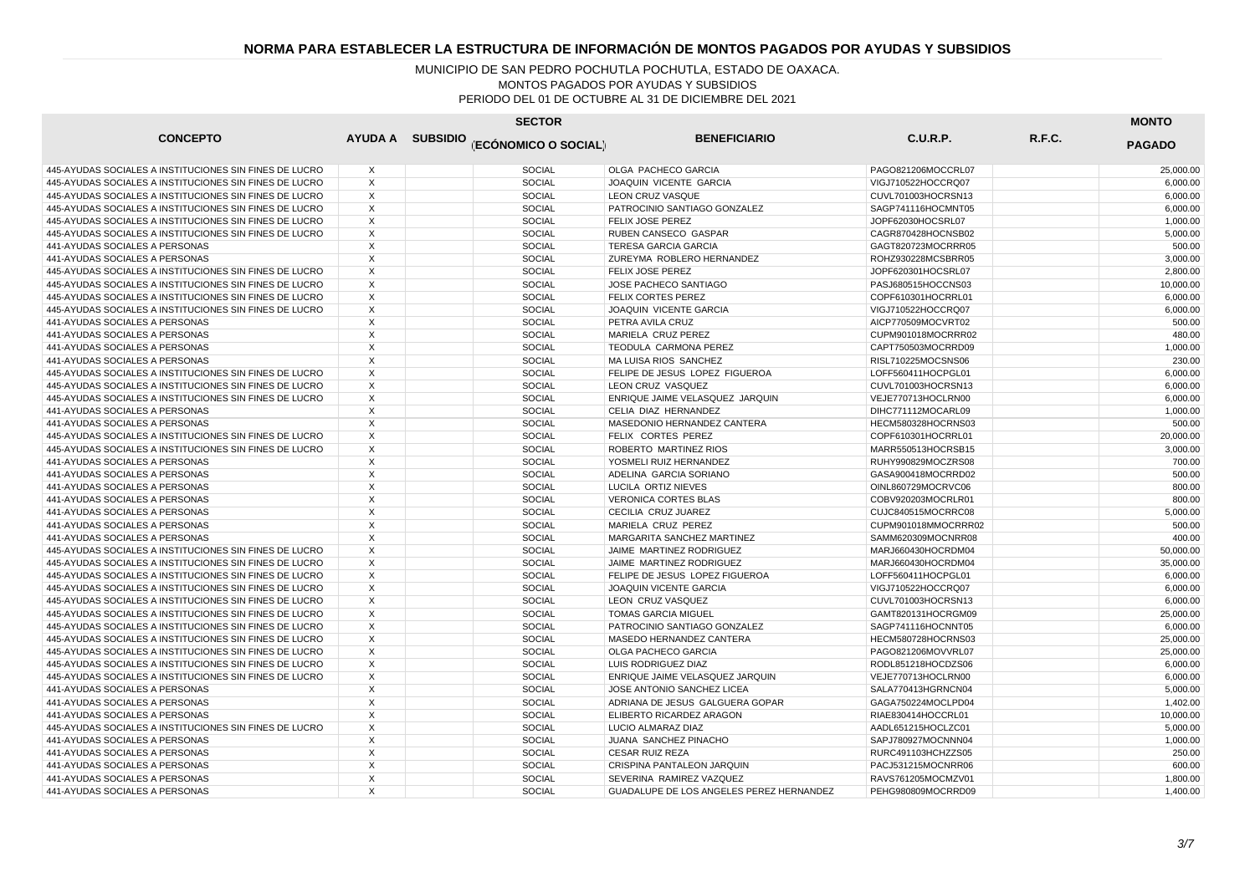| <b>SECTOR</b>                                          |                |  |                                       |                                          |                     |        | <b>MONTO</b>  |  |
|--------------------------------------------------------|----------------|--|---------------------------------------|------------------------------------------|---------------------|--------|---------------|--|
| <b>CONCEPTO</b>                                        |                |  | AYUDA A SUBSIDIO (ECÓNOMICO O SOCIAL) | <b>BENEFICIARIO</b>                      | <b>C.U.R.P.</b>     | R.F.C. | <b>PAGADO</b> |  |
| 445-AYUDAS SOCIALES A INSTITUCIONES SIN FINES DE LUCRO | X              |  | <b>SOCIAL</b>                         | OLGA PACHECO GARCIA                      | PAGO821206MOCCRL07  |        | 25,000.00     |  |
| 445-AYUDAS SOCIALES A INSTITUCIONES SIN FINES DE LUCRO | X              |  | <b>SOCIAL</b>                         | JOAQUIN VICENTE GARCIA                   | VIGJ710522HOCCRQ07  |        | 6,000.00      |  |
| 445-AYUDAS SOCIALES A INSTITUCIONES SIN FINES DE LUCRO | X              |  | SOCIAL                                | LEON CRUZ VASQUE                         | CUVL701003HOCRSN13  |        | 6,000.00      |  |
| 445-AYUDAS SOCIALES A INSTITUCIONES SIN FINES DE LUCRO | X              |  | <b>SOCIAL</b>                         | PATROCINIO SANTIAGO GONZALEZ             | SAGP741116HOCMNT05  |        | 6,000.00      |  |
| 445-AYUDAS SOCIALES A INSTITUCIONES SIN FINES DE LUCRO | $\times$       |  | <b>SOCIAL</b>                         | <b>FELIX JOSE PEREZ</b>                  | JOPF62030HOCSRL07   |        | 1,000.00      |  |
| 445-AYUDAS SOCIALES A INSTITUCIONES SIN FINES DE LUCRO | $\times$       |  | <b>SOCIAL</b>                         | RUBEN CANSECO GASPAR                     | CAGR870428HOCNSB02  |        | 5.000.00      |  |
| 441-AYUDAS SOCIALES A PERSONAS                         | X              |  | <b>SOCIAL</b>                         | TERESA GARCIA GARCIA                     | GAGT820723MOCRRR05  |        | 500.00        |  |
| 441-AYUDAS SOCIALES A PERSONAS                         | $\overline{X}$ |  | <b>SOCIAL</b>                         | ZUREYMA ROBLERO HERNANDEZ                | ROHZ930228MCSBRR05  |        | 3,000.00      |  |
| 445-AYUDAS SOCIALES A INSTITUCIONES SIN FINES DE LUCRO | $\times$       |  | <b>SOCIAL</b>                         | FELIX JOSE PEREZ                         | JOPF620301HOCSRL07  |        | 2,800.00      |  |
| 445-AYUDAS SOCIALES A INSTITUCIONES SIN FINES DE LUCRO | $\times$       |  | <b>SOCIAL</b>                         | JOSE PACHECO SANTIAGO                    | PASJ680515HOCCNS03  |        | 10,000.00     |  |
| 445-AYUDAS SOCIALES A INSTITUCIONES SIN FINES DE LUCRO | X              |  | <b>SOCIAL</b>                         | FELIX CORTES PEREZ                       | COPF610301HOCRRL01  |        | 6,000.00      |  |
| 445-AYUDAS SOCIALES A INSTITUCIONES SIN FINES DE LUCRO | X              |  | SOCIAL                                | JOAQUIN VICENTE GARCIA                   | VIGJ710522HOCCRQ07  |        | 6,000.00      |  |
| 441-AYUDAS SOCIALES A PERSONAS                         | X              |  | <b>SOCIAL</b>                         | PETRA AVILA CRUZ                         | AICP770509MOCVRT02  |        | 500.00        |  |
| 441-AYUDAS SOCIALES A PERSONAS                         | X              |  | <b>SOCIAL</b>                         | MARIELA CRUZ PEREZ                       | CUPM901018MOCRRR02  |        | 480.00        |  |
| 441-AYUDAS SOCIALES A PERSONAS                         | $\times$       |  | <b>SOCIAL</b>                         | TEODULA CARMONA PEREZ                    | CAPT750503MOCRRD09  |        | 1.000.00      |  |
| 441-AYUDAS SOCIALES A PERSONAS                         | X              |  | <b>SOCIAL</b>                         | MA LUISA RIOS SANCHEZ                    | RISL710225MOCSNS06  |        | 230.00        |  |
| 445-AYUDAS SOCIALES A INSTITUCIONES SIN FINES DE LUCRO | $\overline{X}$ |  | <b>SOCIAL</b>                         | FELIPE DE JESUS LOPEZ FIGUEROA           | LOFF560411HOCPGL01  |        | 6,000.00      |  |
| 445-AYUDAS SOCIALES A INSTITUCIONES SIN FINES DE LUCRO | $\times$       |  | <b>SOCIAL</b>                         | LEON CRUZ VASQUEZ                        | CUVL701003HOCRSN13  |        | 6,000.00      |  |
| 445-AYUDAS SOCIALES A INSTITUCIONES SIN FINES DE LUCRO | X              |  | <b>SOCIAL</b>                         | ENRIQUE JAIME VELASQUEZ JARQUIN          | VEJE770713HOCLRN00  |        | 6,000.00      |  |
| 441-AYUDAS SOCIALES A PERSONAS                         | X              |  | <b>SOCIAL</b>                         | CELIA DIAZ HERNANDEZ                     | DIHC771112MOCARL09  |        | 1,000.00      |  |
| 441-AYUDAS SOCIALES A PERSONAS                         | X              |  | SOCIAL                                | MASEDONIO HERNANDEZ CANTERA              | HECM580328HOCRNS03  |        | 500.00        |  |
| 445-AYUDAS SOCIALES A INSTITUCIONES SIN FINES DE LUCRO | X              |  | <b>SOCIAL</b>                         | FELIX CORTES PEREZ                       | COPF610301HOCRRL01  |        | 20,000.00     |  |
| 445-AYUDAS SOCIALES A INSTITUCIONES SIN FINES DE LUCRO | $\times$       |  | <b>SOCIAL</b>                         | ROBERTO MARTINEZ RIOS                    | MARR550513HOCRSB15  |        | 3,000.00      |  |
| 441-AYUDAS SOCIALES A PERSONAS                         | $\times$       |  | <b>SOCIAL</b>                         | YOSMELI RUIZ HERNANDEZ                   | RUHY990829MOCZRS08  |        | 700.00        |  |
| 441-AYUDAS SOCIALES A PERSONAS                         | $\times$       |  | <b>SOCIAL</b>                         | ADELINA GARCIA SORIANO                   | GASA900418MOCRRD02  |        | 500.00        |  |
| 441-AYUDAS SOCIALES A PERSONAS                         | X              |  | SOCIAL                                | LUCILA ORTIZ NIEVES                      | OINL860729MOCRVC06  |        | 800.00        |  |
| 441-AYUDAS SOCIALES A PERSONAS                         | X              |  | <b>SOCIAL</b>                         | <b>VERONICA CORTES BLAS</b>              | COBV920203MOCRLR01  |        | 800.00        |  |
| 441-AYUDAS SOCIALES A PERSONAS                         | X              |  | SOCIAL                                | CECILIA CRUZ JUAREZ                      | CUJC840515MOCRRC08  |        | 5,000.00      |  |
| 441-AYUDAS SOCIALES A PERSONAS                         | X              |  | <b>SOCIAL</b>                         | MARIELA CRUZ PEREZ                       | CUPM901018MMOCRRR02 |        | 500.00        |  |
| 441-AYUDAS SOCIALES A PERSONAS                         | X              |  | SOCIAL                                | MARGARITA SANCHEZ MARTINEZ               | SAMM620309MOCNRR08  |        | 400.00        |  |
| 445-AYUDAS SOCIALES A INSTITUCIONES SIN FINES DE LUCRO | $\times$       |  | <b>SOCIAL</b>                         | JAIME MARTINEZ RODRIGUEZ                 | MARJ660430HOCRDM04  |        | 50,000.00     |  |
| 445-AYUDAS SOCIALES A INSTITUCIONES SIN FINES DE LUCRO | X              |  | <b>SOCIAL</b>                         | JAIME MARTINEZ RODRIGUEZ                 | MARJ660430HOCRDM04  |        | 35,000.00     |  |
| 445-AYUDAS SOCIALES A INSTITUCIONES SIN FINES DE LUCRO | $\times$       |  | <b>SOCIAL</b>                         | FELIPE DE JESUS LOPEZ FIGUEROA           | LOFF560411HOCPGL01  |        | 6,000.00      |  |
| 445-AYUDAS SOCIALES A INSTITUCIONES SIN FINES DE LUCRO | $\times$       |  | <b>SOCIAL</b>                         | JOAQUIN VICENTE GARCIA                   | VIGJ710522HOCCRQ07  |        | 6,000.00      |  |
| 445-AYUDAS SOCIALES A INSTITUCIONES SIN FINES DE LUCRO | $\overline{X}$ |  | <b>SOCIAL</b>                         | LEON CRUZ VASQUEZ                        | CUVL701003HOCRSN13  |        | 6,000.00      |  |
| 445-AYUDAS SOCIALES A INSTITUCIONES SIN FINES DE LUCRO | $\times$       |  | <b>SOCIAL</b>                         | <b>TOMAS GARCIA MIGUEL</b>               | GAMT820131HOCRGM09  |        | 25,000.00     |  |
| 445-AYUDAS SOCIALES A INSTITUCIONES SIN FINES DE LUCRO | X              |  | SOCIAL                                | PATROCINIO SANTIAGO GONZALEZ             | SAGP741116HOCNNT05  |        | 6,000.00      |  |
| 445-AYUDAS SOCIALES A INSTITUCIONES SIN FINES DE LUCRO | $\times$       |  | <b>SOCIAL</b>                         | MASEDO HERNANDEZ CANTERA                 | HECM580728HOCRNS03  |        | 25,000.00     |  |
| 445-AYUDAS SOCIALES A INSTITUCIONES SIN FINES DE LUCRO | X              |  | SOCIAL                                | OLGA PACHECO GARCIA                      | PAGO821206MOVVRL07  |        | 25,000.00     |  |
| 445-AYUDAS SOCIALES A INSTITUCIONES SIN FINES DE LUCRO | $\mathsf{X}$   |  | <b>SOCIAL</b>                         | LUIS RODRIGUEZ DIAZ                      | RODL851218HOCDZS06  |        | 6.000.00      |  |
| 445-AYUDAS SOCIALES A INSTITUCIONES SIN FINES DE LUCRO | $\times$       |  | <b>SOCIAL</b>                         | ENRIQUE JAIME VELASQUEZ JARQUIN          | VEJE770713HOCLRN00  |        | 6,000.00      |  |
| 441-AYUDAS SOCIALES A PERSONAS                         | X              |  | <b>SOCIAL</b>                         | JOSE ANTONIO SANCHEZ LICEA               | SALA770413HGRNCN04  |        | 5,000.00      |  |
| 441-AYUDAS SOCIALES A PERSONAS                         | $\times$       |  | <b>SOCIAL</b>                         | ADRIANA DE JESUS GALGUERA GOPAR          | GAGA750224MOCLPD04  |        | 1,402.00      |  |
| 441-AYUDAS SOCIALES A PERSONAS                         | X              |  | <b>SOCIAL</b>                         | ELIBERTO RICARDEZ ARAGON                 | RIAE830414HOCCRL01  |        | 10,000.00     |  |
| 445-AYUDAS SOCIALES A INSTITUCIONES SIN FINES DE LUCRO | X              |  | <b>SOCIAL</b>                         | LUCIO ALMARAZ DIAZ                       | AADL651215HOCLZC01  |        | 5,000.00      |  |
| 441-AYUDAS SOCIALES A PERSONAS                         | X              |  | SOCIAL                                | JUANA SANCHEZ PINACHO                    | SAPJ780927MOCNNN04  |        | 1,000.00      |  |
| 441-AYUDAS SOCIALES A PERSONAS                         | $\times$       |  | <b>SOCIAL</b>                         | <b>CESAR RUIZ REZA</b>                   | RURC491103HCHZZS05  |        | 250.00        |  |
| 441-AYUDAS SOCIALES A PERSONAS                         | X              |  | <b>SOCIAL</b>                         | CRISPINA PANTALEON JARQUIN               | PACJ531215MOCNRR06  |        | 600.00        |  |
| 441-AYUDAS SOCIALES A PERSONAS                         | X              |  | <b>SOCIAL</b>                         | SEVERINA RAMIREZ VAZQUEZ                 | RAVS761205MOCMZV01  |        | 1,800.00      |  |
| 441-AYUDAS SOCIALES A PERSONAS                         | $\times$       |  | <b>SOCIAL</b>                         | GUADALUPE DE LOS ANGELES PEREZ HERNANDEZ | PEHG980809MOCRRD09  |        | 1.400.00      |  |
|                                                        |                |  |                                       |                                          |                     |        |               |  |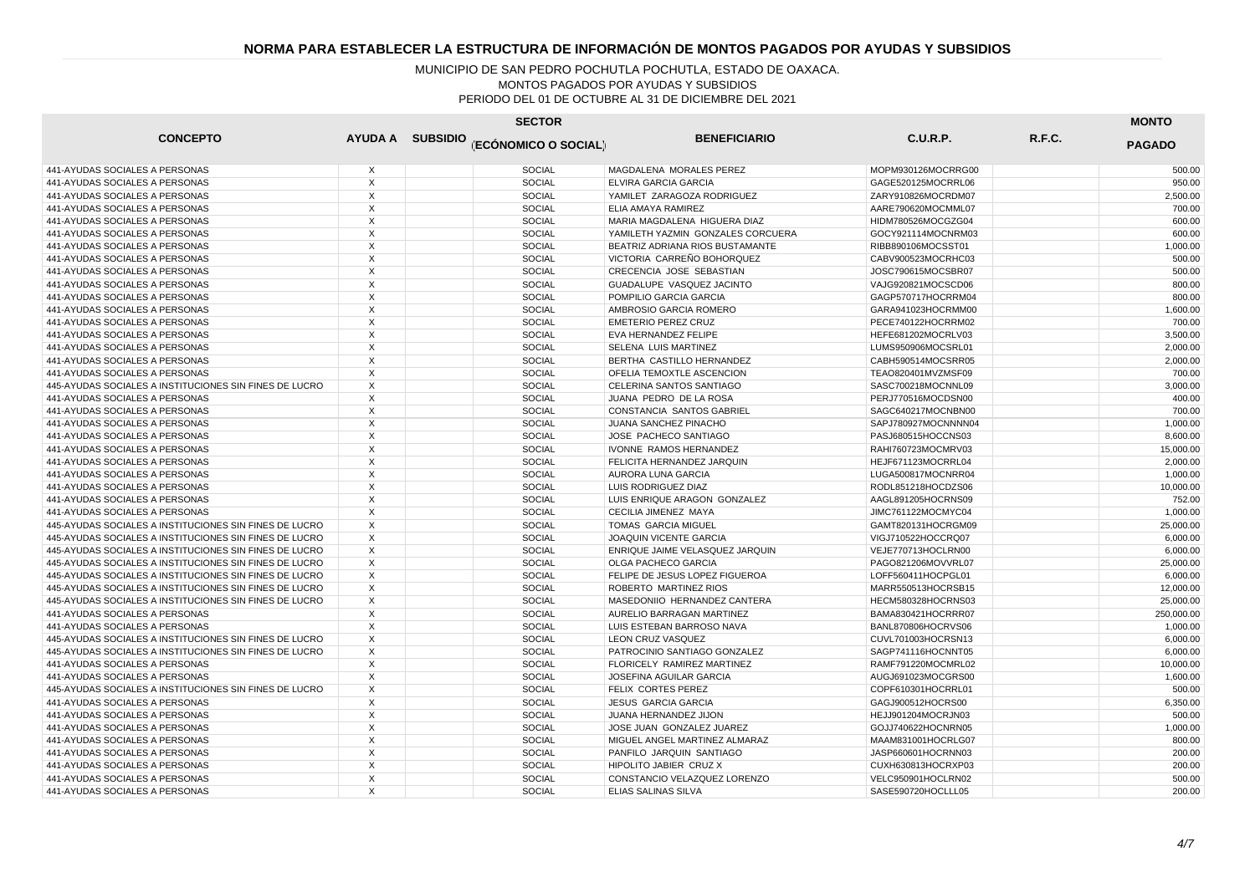| <b>CONCEPTO</b>                                        |                | AYUDA A SUBSIDIO (ECÓNOMICO O SOCIAL) | <b>BENEFICIARIO</b>               | C.U.R.P.            | R.F.C. | <b>PAGADO</b> |
|--------------------------------------------------------|----------------|---------------------------------------|-----------------------------------|---------------------|--------|---------------|
| 441-AYUDAS SOCIALES A PERSONAS                         | X              | <b>SOCIAL</b>                         | MAGDALENA MORALES PEREZ           | MOPM930126MOCRRG00  |        | 500.00        |
| 441-AYUDAS SOCIALES A PERSONAS                         | $\times$       | <b>SOCIAL</b>                         | <b>ELVIRA GARCIA GARCIA</b>       | GAGE520125MOCRRL06  |        | 950.00        |
| 441-AYUDAS SOCIALES A PERSONAS                         | X              | <b>SOCIAL</b>                         | YAMILET ZARAGOZA RODRIGUEZ        | ZARY910826MOCRDM07  |        | 2,500.00      |
| 441-AYUDAS SOCIALES A PERSONAS                         | X              | <b>SOCIAL</b>                         | ELIA AMAYA RAMIREZ                | AARE790620MOCMML07  |        | 700.00        |
| 441-AYUDAS SOCIALES A PERSONAS                         | X              | <b>SOCIAL</b>                         | MARIA MAGDALENA HIGUERA DIAZ      | HIDM780526MOCGZG04  |        | 600.00        |
| 441-AYUDAS SOCIALES A PERSONAS                         | X              | <b>SOCIAL</b>                         | YAMILETH YAZMIN GONZALES CORCUERA | GOCY921114MOCNRM03  |        | 600.00        |
| 441-AYUDAS SOCIALES A PERSONAS                         | X              | SOCIAL                                | BEATRIZ ADRIANA RIOS BUSTAMANTE   | RIBB890106MOCSST01  |        | 1,000.00      |
| 441-AYUDAS SOCIALES A PERSONAS                         | X              | <b>SOCIAL</b>                         | VICTORIA CARREÑO BOHORQUEZ        | CABV900523MOCRHC03  |        | 500.00        |
| 441-AYUDAS SOCIALES A PERSONAS                         | $\times$       | <b>SOCIAL</b>                         | CRECENCIA JOSE SEBASTIAN          | JOSC790615MOCSBR07  |        | 500.00        |
| 441-AYUDAS SOCIALES A PERSONAS                         | X              | <b>SOCIAL</b>                         | GUADALUPE VASQUEZ JACINTO         | VAJG920821MOCSCD06  |        | 800.00        |
| 441-AYUDAS SOCIALES A PERSONAS                         | $\times$       | <b>SOCIAL</b>                         | POMPILIO GARCIA GARCIA            | GAGP570717HOCRRM04  |        | 800.00        |
| 441-AYUDAS SOCIALES A PERSONAS                         | $\times$       | <b>SOCIAL</b>                         | AMBROSIO GARCIA ROMERO            | GARA941023HOCRMM00  |        | 1.600.00      |
| 441-AYUDAS SOCIALES A PERSONAS                         | X              | <b>SOCIAL</b>                         | <b>EMETERIO PEREZ CRUZ</b>        | PECE740122HOCRRM02  |        | 700.00        |
| 441-AYUDAS SOCIALES A PERSONAS                         | $\times$       | <b>SOCIAL</b>                         | EVA HERNANDEZ FELIPE              | HEFE681202MOCRLV03  |        | 3.500.00      |
| 441-AYUDAS SOCIALES A PERSONAS                         | X              | SOCIAL                                | SELENA LUIS MARTINEZ              | LUMS950906MOCSRL01  |        | 2,000.00      |
| 441-AYUDAS SOCIALES A PERSONAS                         | $\times$       | <b>SOCIAL</b>                         | BERTHA CASTILLO HERNANDEZ         | CABH590514MOCSRR05  |        | 2.000.00      |
| 441-AYUDAS SOCIALES A PERSONAS                         | X              | <b>SOCIAL</b>                         | OFELIA TEMOXTLE ASCENCION         | TEAO820401MVZMSF09  |        | 700.00        |
| 445-AYUDAS SOCIALES A INSTITUCIONES SIN FINES DE LUCRO | $\times$       | <b>SOCIAL</b>                         | CELERINA SANTOS SANTIAGO          | SASC700218MOCNNL09  |        | 3.000.00      |
| 441-AYUDAS SOCIALES A PERSONAS                         | X              | <b>SOCIAL</b>                         | JUANA PEDRO DE LA ROSA            | PERJ770516MOCDSN00  |        | 400.00        |
| 441-AYUDAS SOCIALES A PERSONAS                         | $\overline{X}$ | <b>SOCIAL</b>                         | <b>CONSTANCIA SANTOS GABRIEL</b>  | SAGC640217MOCNBN00  |        | 700.00        |
| 441-AYUDAS SOCIALES A PERSONAS                         | X              | <b>SOCIAL</b>                         | <b>JUANA SANCHEZ PINACHO</b>      | SAPJ780927MOCNNNN04 |        | 1,000.00      |
| 441-AYUDAS SOCIALES A PERSONAS                         | $\times$       | <b>SOCIAL</b>                         | JOSE PACHECO SANTIAGO             | PASJ680515HOCCNS03  |        | 8.600.00      |
| 441-AYUDAS SOCIALES A PERSONAS                         | X              | SOCIAL                                | IVONNE RAMOS HERNANDEZ            | RAHI760723MOCMRV03  |        | 15,000.00     |
| 441-AYUDAS SOCIALES A PERSONAS                         | $\times$       | <b>SOCIAL</b>                         | FELICITA HERNANDEZ JARQUIN        | HEJF671123MOCRRL04  |        | 2.000.00      |
| 441-AYUDAS SOCIALES A PERSONAS                         | X              | SOCIAL                                | AURORA LUNA GARCIA                | LUGA500817MOCNRR04  |        | 1,000.00      |
| 441-AYUDAS SOCIALES A PERSONAS                         | X              | <b>SOCIAL</b>                         | LUIS RODRIGUEZ DIAZ               | RODL851218HOCDZS06  |        | 10.000.00     |
| 441-AYUDAS SOCIALES A PERSONAS                         | X              | <b>SOCIAL</b>                         | LUIS ENRIQUE ARAGON GONZALEZ      | AAGL891205HOCRNS09  |        | 752.00        |
| 441-AYUDAS SOCIALES A PERSONAS                         | $\times$       | <b>SOCIAL</b>                         | CECILIA JIMENEZ MAYA              | JIMC761122MOCMYC04  |        | 1,000.00      |
| 445-AYUDAS SOCIALES A INSTITUCIONES SIN FINES DE LUCRO | X              | <b>SOCIAL</b>                         | <b>TOMAS GARCIA MIGUEL</b>        | GAMT820131HOCRGM09  |        | 25,000.00     |
| 445-AYUDAS SOCIALES A INSTITUCIONES SIN FINES DE LUCRO | X              | <b>SOCIAL</b>                         | JOAQUIN VICENTE GARCIA            | VIGJ710522HOCCRQ07  |        | 6,000.00      |
| 445-AYUDAS SOCIALES A INSTITUCIONES SIN FINES DE LUCRO | X              | <b>SOCIAL</b>                         | ENRIQUE JAIME VELASQUEZ JARQUIN   | VEJE770713HOCLRN00  |        | 6,000.00      |
| 445-AYUDAS SOCIALES A INSTITUCIONES SIN FINES DE LUCRO | X              | <b>SOCIAL</b>                         | OLGA PACHECO GARCIA               | PAGO821206MOVVRL07  |        | 25,000.00     |
| 445-AYUDAS SOCIALES A INSTITUCIONES SIN FINES DE LUCRO | X              | SOCIAL                                | FELIPE DE JESUS LOPEZ FIGUEROA    | LOFF560411HOCPGL01  |        | 6,000.00      |
| 445-AYUDAS SOCIALES A INSTITUCIONES SIN FINES DE LUCRO | $\times$       | <b>SOCIAL</b>                         | ROBERTO MARTINEZ RIOS             | MARR550513HOCRSB15  |        | 12,000.00     |
| 445-AYUDAS SOCIALES A INSTITUCIONES SIN FINES DE LUCRO | X              | <b>SOCIAL</b>                         | MASEDONIIO HERNANDEZ CANTERA      | HECM580328HOCRNS03  |        | 25,000.00     |
| 441-AYUDAS SOCIALES A PERSONAS                         | $\times$       | <b>SOCIAL</b>                         | AURELIO BARRAGAN MARTINEZ         | BAMA830421HOCRRR07  |        | 250,000.00    |
| 441-AYUDAS SOCIALES A PERSONAS                         | X              | <b>SOCIAL</b>                         | LUIS ESTEBAN BARROSO NAVA         | BANL870806HOCRVS06  |        | 1,000.00      |
| 445-AYUDAS SOCIALES A INSTITUCIONES SIN FINES DE LUCRO | $\times$       | <b>SOCIAL</b>                         | <b>LEON CRUZ VASQUEZ</b>          | CUVL701003HOCRSN13  |        | 6.000.00      |
| 445-AYUDAS SOCIALES A INSTITUCIONES SIN FINES DE LUCRO | X              | <b>SOCIAL</b>                         | PATROCINIO SANTIAGO GONZALEZ      | SAGP741116HOCNNT05  |        | 6,000.00      |
| 441-AYUDAS SOCIALES A PERSONAS                         | $\overline{X}$ | <b>SOCIAL</b>                         | FLORICELY RAMIREZ MARTINEZ        | RAMF791220MOCMRL02  |        | 10.000.00     |
| 441-AYUDAS SOCIALES A PERSONAS                         | X              | <b>SOCIAL</b>                         | JOSEFINA AGUILAR GARCIA           | AUGJ691023MOCGRS00  |        | 1,600.00      |
| 445-AYUDAS SOCIALES A INSTITUCIONES SIN FINES DE LUCRO | $\times$       | <b>SOCIAL</b>                         | <b>FELIX CORTES PEREZ</b>         | COPF610301HOCRRL01  |        | 500.00        |
| 441-AYUDAS SOCIALES A PERSONAS                         | X              | <b>SOCIAL</b>                         | <b>JESUS GARCIA GARCIA</b>        | GAGJ900512HOCRS00   |        | 6,350.00      |
| 441-AYUDAS SOCIALES A PERSONAS                         | X              | <b>SOCIAL</b>                         | JUANA HERNANDEZ JIJON             | HEJJ901204MOCRJN03  |        | 500.00        |
| 441-AYUDAS SOCIALES A PERSONAS                         | X              | <b>SOCIAL</b>                         | JOSE JUAN GONZALEZ JUAREZ         | GOJJ740622HOCNRN05  |        | 1,000.00      |
| 441-AYUDAS SOCIALES A PERSONAS                         | $\times$       | SOCIAL                                | MIGUEL ANGEL MARTINEZ ALMARAZ     | MAAM831001HOCRLG07  |        | 800.00        |
| 441-AYUDAS SOCIALES A PERSONAS                         | X              | <b>SOCIAL</b>                         | PANFILO JARQUIN SANTIAGO          | JASP660601HOCRNN03  |        | 200.00        |
| 441-AYUDAS SOCIALES A PERSONAS                         | X              | <b>SOCIAL</b>                         | HIPOLITO JABIER CRUZ X            | CUXH630813HOCRXP03  |        | 200.00        |
| 441-AYUDAS SOCIALES A PERSONAS                         | X              | <b>SOCIAL</b>                         | CONSTANCIO VELAZQUEZ LORENZO      | VELC950901HOCLRN02  |        | 500.00        |
| 441-AYUDAS SOCIALES A PERSONAS                         | X              | <b>SOCIAL</b>                         | ELIAS SALINAS SILVA               | SASE590720HOCLLL05  |        | 200.00        |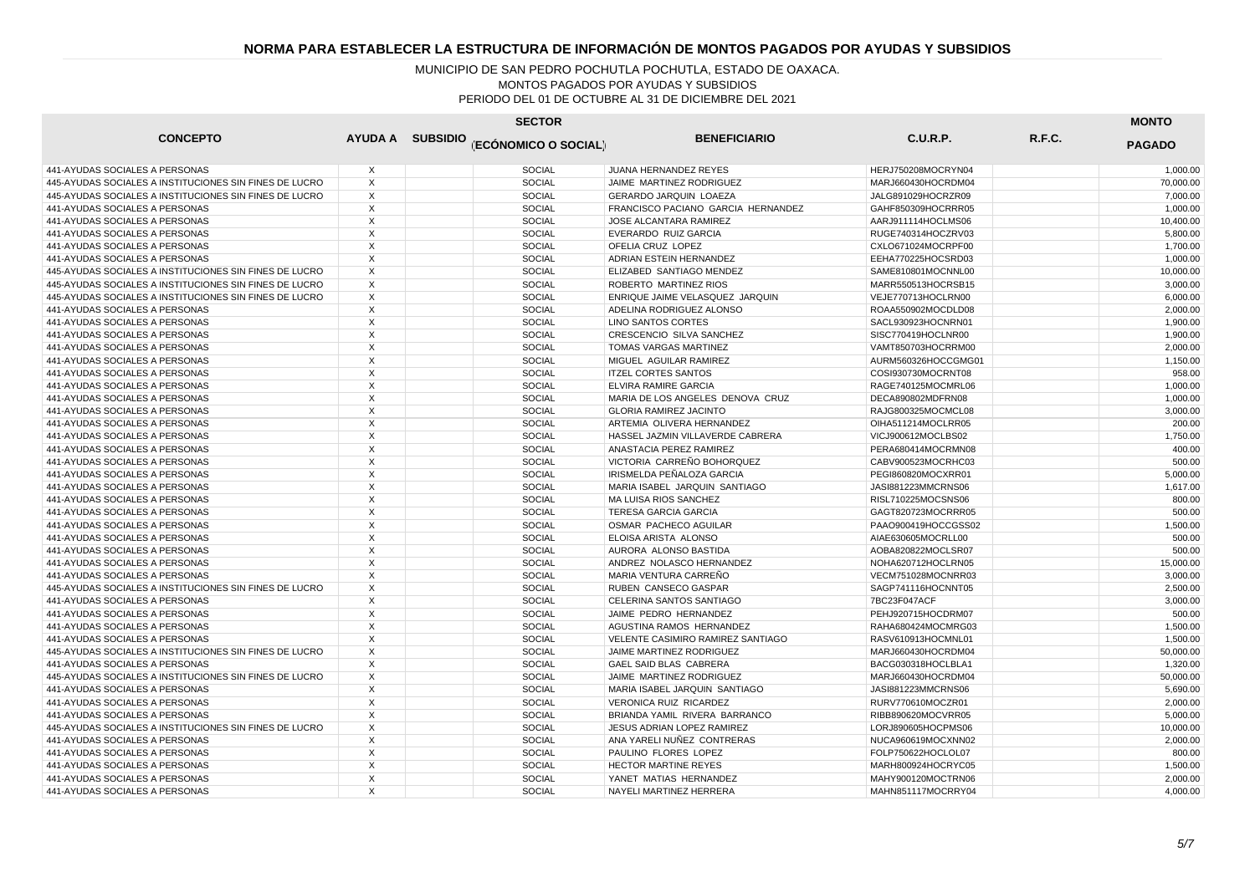| <b>CONCEPTO</b><br>AYUDA A SUBSIDIO (ECÓNOMICO O SOCIAL)<br><b>BENEFICIARIO</b><br><b>C.U.R.P.</b><br>R.F.C.<br><b>PAGADO</b><br><b>SOCIAL</b><br>441-AYUDAS SOCIALES A PERSONAS<br>X<br><b>JUANA HERNANDEZ REYES</b><br>HERJ750208MOCRYN04 |           |
|---------------------------------------------------------------------------------------------------------------------------------------------------------------------------------------------------------------------------------------------|-----------|
|                                                                                                                                                                                                                                             |           |
|                                                                                                                                                                                                                                             | 1,000.00  |
| $\times$<br>445-AYUDAS SOCIALES A INSTITUCIONES SIN FINES DE LUCRO<br><b>SOCIAL</b><br>JAIME MARTINEZ RODRIGUEZ<br>MARJ660430HOCRDM04                                                                                                       | 70,000.00 |
| X<br><b>SOCIAL</b><br>445-AYUDAS SOCIALES A INSTITUCIONES SIN FINES DE LUCRO<br>GERARDO JARQUIN LOAEZA<br>JALG891029HOCRZR09                                                                                                                | 7,000.00  |
| $\times$<br><b>SOCIAL</b><br>441-AYUDAS SOCIALES A PERSONAS<br>FRANCISCO PACIANO GARCIA HERNANDEZ<br>GAHF850309HOCRRR05                                                                                                                     | 1,000.00  |
| 441-AYUDAS SOCIALES A PERSONAS<br>X<br><b>SOCIAL</b><br>JOSE ALCANTARA RAMIREZ<br>AARJ911114HOCLMS06                                                                                                                                        | 10,400.00 |
| $\mathsf{X}$<br><b>SOCIAL</b><br>441-AYUDAS SOCIALES A PERSONAS<br>EVERARDO RUIZ GARCIA<br>RUGE740314HOCZRV03                                                                                                                               | 5.800.00  |
| X<br>SOCIAL<br>441-AYUDAS SOCIALES A PERSONAS<br>OFELIA CRUZ LOPEZ<br>CXLO671024MOCRPF00                                                                                                                                                    | 1,700.00  |
| $\times$<br><b>SOCIAL</b><br>441-AYUDAS SOCIALES A PERSONAS<br>ADRIAN ESTEIN HERNANDEZ<br>EEHA770225HOCSRD03                                                                                                                                | 1.000.00  |
| 445-AYUDAS SOCIALES A INSTITUCIONES SIN FINES DE LUCRO<br>X<br><b>SOCIAL</b><br>ELIZABED SANTIAGO MENDEZ<br>SAME810801MOCNNL00                                                                                                              | 10,000.00 |
| $\times$<br>445-AYUDAS SOCIALES A INSTITUCIONES SIN FINES DE LUCRO<br><b>SOCIAL</b><br>ROBERTO MARTINEZ RIOS<br>MARR550513HOCRSB15                                                                                                          | 3.000.00  |
| 445-AYUDAS SOCIALES A INSTITUCIONES SIN FINES DE LUCRO<br>X<br><b>SOCIAL</b><br>ENRIQUE JAIME VELASQUEZ JARQUIN<br>VEJE770713HOCLRN00                                                                                                       | 6,000.00  |
| X<br>441-AYUDAS SOCIALES A PERSONAS<br><b>SOCIAL</b><br>ADELINA RODRIGUEZ ALONSO<br>ROAA550902MOCDLD08                                                                                                                                      | 2.000.00  |
| 441-AYUDAS SOCIALES A PERSONAS<br>X<br><b>SOCIAL</b><br>LINO SANTOS CORTES<br>SACL930923HOCNRN01                                                                                                                                            | 1,900.00  |
| $\times$<br>441-AYUDAS SOCIALES A PERSONAS<br><b>SOCIAL</b><br>CRESCENCIO SILVA SANCHEZ<br>SISC770419HOCLNR00                                                                                                                               | 1,900.00  |
| X<br><b>SOCIAL</b><br>441-AYUDAS SOCIALES A PERSONAS<br><b>TOMAS VARGAS MARTINEZ</b><br>VAMT850703HOCRRM00                                                                                                                                  | 2,000.00  |
| 441-AYUDAS SOCIALES A PERSONAS<br>X<br><b>SOCIAL</b><br>MIGUEL AGUILAR RAMIREZ<br>AURM560326HOCCGMG01                                                                                                                                       | 1,150.00  |
| X<br><b>SOCIAL</b><br><b>ITZEL CORTES SANTOS</b><br>441-AYUDAS SOCIALES A PERSONAS<br>COSI930730MOCRNT08                                                                                                                                    | 958.00    |
| $\times$<br><b>SOCIAL</b><br>441-AYUDAS SOCIALES A PERSONAS<br><b>ELVIRA RAMIRE GARCIA</b><br>RAGE740125MOCMRL06                                                                                                                            | 1,000.00  |
| X<br><b>SOCIAL</b><br>441-AYUDAS SOCIALES A PERSONAS<br>MARIA DE LOS ANGELES DENOVA CRUZ<br>DECA890802MDFRN08                                                                                                                               | 1,000.00  |
| X<br><b>SOCIAL</b><br>441-AYUDAS SOCIALES A PERSONAS<br><b>GLORIA RAMIREZ JACINTO</b><br>RAJG800325MOCMCL08                                                                                                                                 | 3,000.00  |
| $\times$<br><b>SOCIAL</b><br>441-AYUDAS SOCIALES A PERSONAS<br>ARTEMIA OLIVERA HERNANDEZ<br>OIHA511214MOCLRR05                                                                                                                              | 200.00    |
| X<br>441-AYUDAS SOCIALES A PERSONAS<br><b>SOCIAL</b><br>HASSEL JAZMIN VILLAVERDE CABRERA<br>VICJ900612MOCLBS02                                                                                                                              | 1,750.00  |
| $\times$<br>ANASTACIA PEREZ RAMIREZ<br>441-AYUDAS SOCIALES A PERSONAS<br><b>SOCIAL</b><br>PERA680414MOCRMN08                                                                                                                                | 400.00    |
| $\times$<br><b>SOCIAL</b><br>VICTORIA CARREÑO BOHORQUEZ<br>441-AYUDAS SOCIALES A PERSONAS<br>CABV900523MOCRHC03                                                                                                                             | 500.00    |
| X<br><b>SOCIAL</b><br>IRISMELDA PEÑALOZA GARCIA<br>441-AYUDAS SOCIALES A PERSONAS<br>PEGI860820MOCXRR01                                                                                                                                     | 5,000.00  |
| $\times$<br><b>SOCIAL</b><br>441-AYUDAS SOCIALES A PERSONAS<br>MARIA ISABEL JARQUIN SANTIAGO<br>JASI881223MMCRNS06                                                                                                                          | 1,617.00  |
| 441-AYUDAS SOCIALES A PERSONAS<br>X<br>SOCIAL<br>MA LUISA RIOS SANCHEZ<br>RISL710225MOCSNS06                                                                                                                                                | 800.00    |
| $\mathsf{X}$<br>441-AYUDAS SOCIALES A PERSONAS<br><b>SOCIAL</b><br><b>TERESA GARCIA GARCIA</b><br>GAGT820723MOCRRR05                                                                                                                        | 500.00    |
| X<br>SOCIAL<br>441-AYUDAS SOCIALES A PERSONAS<br>OSMAR PACHECO AGUILAR<br>PAAO900419HOCCGSS02                                                                                                                                               | 1,500.00  |
| $\overline{X}$<br><b>SOCIAL</b><br>441-AYUDAS SOCIALES A PERSONAS<br>ELOISA ARISTA ALONSO<br>AIAE630605MOCRLL00                                                                                                                             | 500.00    |
| 441-AYUDAS SOCIALES A PERSONAS<br>X<br><b>SOCIAL</b><br>AURORA ALONSO BASTIDA<br>AOBA820822MOCLSR07                                                                                                                                         | 500.00    |
| $\times$<br>441-AYUDAS SOCIALES A PERSONAS<br><b>SOCIAL</b><br>ANDREZ NOLASCO HERNANDEZ<br>NOHA620712HOCLRN05                                                                                                                               | 15,000.00 |
| 441-AYUDAS SOCIALES A PERSONAS<br>X<br><b>SOCIAL</b><br>MARIA VENTURA CARREÑO<br>VECM751028MOCNRR03                                                                                                                                         | 3,000.00  |
| X<br>445-AYUDAS SOCIALES A INSTITUCIONES SIN FINES DE LUCRO<br><b>SOCIAL</b><br>RUBEN CANSECO GASPAR<br>SAGP741116HOCNNT05                                                                                                                  | 2,500.00  |
| X<br>SOCIAL<br>441-AYUDAS SOCIALES A PERSONAS<br>CELERINA SANTOS SANTIAGO<br>7BC23F047ACF                                                                                                                                                   | 3,000.00  |
| $\times$<br>441-AYUDAS SOCIALES A PERSONAS<br><b>SOCIAL</b><br>JAIME PEDRO HERNANDEZ<br>PEHJ920715HOCDRM07                                                                                                                                  | 500.00    |
| X<br><b>SOCIAL</b><br>441-AYUDAS SOCIALES A PERSONAS<br>AGUSTINA RAMOS HERNANDEZ<br>RAHA680424MOCMRG03                                                                                                                                      | 1,500.00  |
| X<br>441-AYUDAS SOCIALES A PERSONAS<br><b>SOCIAL</b><br>VELENTE CASIMIRO RAMIREZ SANTIAGO<br>RASV610913HOCMNL01                                                                                                                             | 1,500.00  |
| 445-AYUDAS SOCIALES A INSTITUCIONES SIN FINES DE LUCRO<br>X<br><b>SOCIAL</b><br>JAIME MARTINEZ RODRIGUEZ<br>MARJ660430HOCRDM04                                                                                                              | 50,000.00 |
| X<br><b>SOCIAL</b><br>441-AYUDAS SOCIALES A PERSONAS<br>GAEL SAID BLAS CABRERA<br>BACG030318HOCLBLA1                                                                                                                                        | 1,320.00  |
| $\times$<br><b>SOCIAL</b><br>445-AYUDAS SOCIALES A INSTITUCIONES SIN FINES DE LUCRO<br>JAIME MARTINEZ RODRIGUEZ<br>MARJ660430HOCRDM04                                                                                                       | 50,000.00 |
| X<br><b>SOCIAL</b><br>441-AYUDAS SOCIALES A PERSONAS<br>MARIA ISABEL JARQUIN SANTIAGO<br>JASI881223MMCRNS06                                                                                                                                 | 5,690.00  |
| X<br><b>SOCIAL</b><br>VERONICA RUIZ RICARDEZ<br>441-AYUDAS SOCIALES A PERSONAS<br>RURV770610MOCZR01                                                                                                                                         | 2,000.00  |
| $\times$<br><b>SOCIAL</b><br>441-AYUDAS SOCIALES A PERSONAS<br>BRIANDA YAMIL RIVERA BARRANCO<br>RIBB890620MOCVRR05                                                                                                                          | 5,000.00  |
| $\times$<br><b>SOCIAL</b><br>445-AYUDAS SOCIALES A INSTITUCIONES SIN FINES DE LUCRO<br>JESUS ADRIAN LOPEZ RAMIREZ<br>LORJ890605HOCPMS06                                                                                                     | 10,000.00 |
| $\times$<br>ANA YARELI NUÑEZ CONTRERAS<br>441-AYUDAS SOCIALES A PERSONAS<br><b>SOCIAL</b><br>NUCA960619MOCXNN02                                                                                                                             | 2,000.00  |
| X<br><b>SOCIAL</b><br>PAULINO FLORES LOPEZ<br>FOLP750622HOCLOL07<br>441-AYUDAS SOCIALES A PERSONAS                                                                                                                                          | 800.00    |
| $\times$<br><b>SOCIAL</b><br>441-AYUDAS SOCIALES A PERSONAS<br><b>HECTOR MARTINE REYES</b><br>MARH800924HOCRYC05                                                                                                                            | 1,500.00  |
| 441-AYUDAS SOCIALES A PERSONAS<br>X<br><b>SOCIAL</b><br>YANET MATIAS HERNANDEZ<br>MAHY900120MOCTRN06                                                                                                                                        | 2,000.00  |
| 441-AYUDAS SOCIALES A PERSONAS<br>$\times$<br><b>SOCIAL</b><br>NAYELI MARTINEZ HERRERA<br>MAHN851117MOCRRY04                                                                                                                                | 4.000.00  |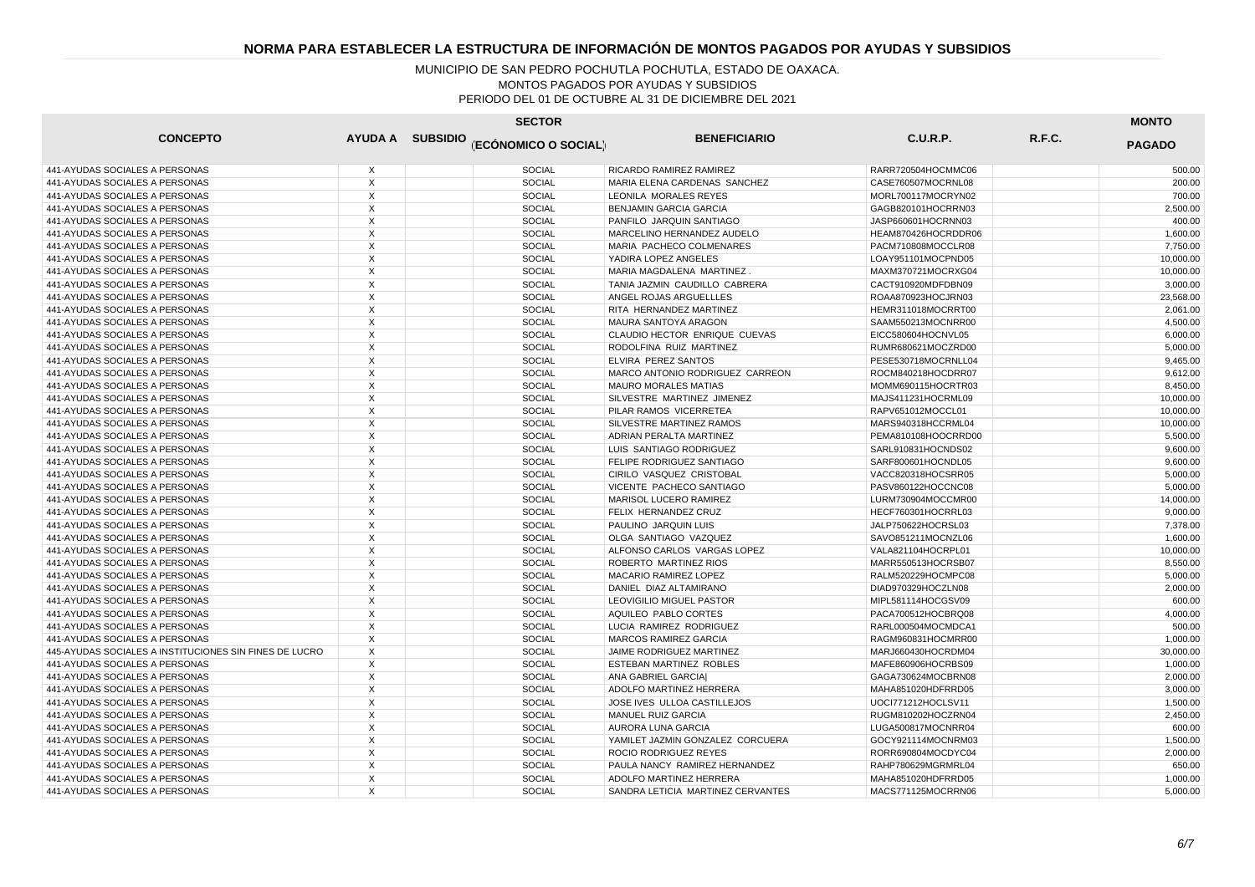| <b>SECTOR</b>                                          |                           |  |                                       |                                   |                     |        |               |
|--------------------------------------------------------|---------------------------|--|---------------------------------------|-----------------------------------|---------------------|--------|---------------|
| <b>CONCEPTO</b>                                        |                           |  | AYUDA A SUBSIDIO (ECÓNOMICO O SOCIAL) | <b>BENEFICIARIO</b>               | C.U.R.P.            | R.F.C. | <b>PAGADO</b> |
| 441-AYUDAS SOCIALES A PERSONAS                         | X                         |  | <b>SOCIAL</b>                         | RICARDO RAMIREZ RAMIREZ           | RARR720504HOCMMC06  |        | 500.00        |
| 441-AYUDAS SOCIALES A PERSONAS                         | $\boldsymbol{\mathsf{X}}$ |  | <b>SOCIAL</b>                         | MARIA ELENA CARDENAS SANCHEZ      | CASE760507MOCRNL08  |        | 200.00        |
| 441-AYUDAS SOCIALES A PERSONAS                         | Х                         |  | <b>SOCIAL</b>                         | LEONILA MORALES REYES             | MORL700117MOCRYN02  |        | 700.00        |
| 441-AYUDAS SOCIALES A PERSONAS                         | $\overline{\mathsf{x}}$   |  | <b>SOCIAL</b>                         | <b>BENJAMIN GARCIA GARCIA</b>     | GAGB820101HOCRRN03  |        | 2,500.00      |
| 441-AYUDAS SOCIALES A PERSONAS                         | X                         |  | SOCIAL                                | PANFILO JARQUIN SANTIAGO          | JASP660601HOCRNN03  |        | 400.00        |
| 441-AYUDAS SOCIALES A PERSONAS                         | X                         |  | <b>SOCIAL</b>                         | MARCELINO HERNANDEZ AUDELO        | HEAM870426HOCRDDR06 |        | 1,600.00      |
| 441-AYUDAS SOCIALES A PERSONAS                         | X                         |  | <b>SOCIAL</b>                         | MARIA PACHECO COLMENARES          | PACM710808MOCCLR08  |        | 7,750.00      |
| 441-AYUDAS SOCIALES A PERSONAS                         | X                         |  | <b>SOCIAL</b>                         | YADIRA LOPEZ ANGELES              | LOAY951101MOCPND05  |        | 10,000.00     |
| 441-AYUDAS SOCIALES A PERSONAS                         | X                         |  | <b>SOCIAL</b>                         | MARIA MAGDALENA MARTINEZ          | MAXM370721MOCRXG04  |        | 10,000.00     |
| 441-AYUDAS SOCIALES A PERSONAS                         | X                         |  | SOCIAL                                | TANIA JAZMIN CAUDILLO CABRERA     | CACT910920MDFDBN09  |        | 3,000.00      |
| 441-AYUDAS SOCIALES A PERSONAS                         | X                         |  | <b>SOCIAL</b>                         | ANGEL ROJAS ARGUELLLES            | ROAA870923HOCJRN03  |        | 23,568.00     |
| 441-AYUDAS SOCIALES A PERSONAS                         | X                         |  | <b>SOCIAL</b>                         | RITA HERNANDEZ MARTINEZ           | HEMR311018MOCRRT00  |        | 2,061.00      |
| 441-AYUDAS SOCIALES A PERSONAS                         | X                         |  | <b>SOCIAL</b>                         | MAURA SANTOYA ARAGON              | SAAM550213MOCNRR00  |        | 4,500.00      |
| 441-AYUDAS SOCIALES A PERSONAS                         | X                         |  | <b>SOCIAL</b>                         | CLAUDIO HECTOR ENRIQUE CUEVAS     | EICC580604HOCNVL05  |        | 6,000.00      |
| 441-AYUDAS SOCIALES A PERSONAS                         | $\mathsf{X}$              |  | <b>SOCIAL</b>                         | RODOLFINA RUIZ MARTINEZ           | RUMR680621MOCZRD00  |        | 5.000.00      |
| 441-AYUDAS SOCIALES A PERSONAS                         | X                         |  | <b>SOCIAL</b>                         | ELVIRA PEREZ SANTOS               | PESE530718MOCRNLL04 |        | 9,465.00      |
| 441-AYUDAS SOCIALES A PERSONAS                         | $\overline{\mathsf{x}}$   |  | <b>SOCIAL</b>                         | MARCO ANTONIO RODRIGUEZ CARREON   | ROCM840218HOCDRR07  |        | 9,612.00      |
| 441-AYUDAS SOCIALES A PERSONAS                         | X                         |  | <b>SOCIAL</b>                         | <b>MAURO MORALES MATIAS</b>       | MOMM690115HOCRTR03  |        | 8,450.00      |
| 441-AYUDAS SOCIALES A PERSONAS                         | $\times$                  |  | <b>SOCIAL</b>                         | SILVESTRE MARTINEZ JIMENEZ        | MAJS411231HOCRML09  |        | 10.000.00     |
| 441-AYUDAS SOCIALES A PERSONAS                         | X                         |  | <b>SOCIAL</b>                         | PILAR RAMOS VICERRETEA            | RAPV651012MOCCL01   |        | 10,000.00     |
| 441-AYUDAS SOCIALES A PERSONAS                         | X                         |  | <b>SOCIAL</b>                         | SILVESTRE MARTINEZ RAMOS          | MARS940318HCCRML04  |        | 10.000.00     |
| 441-AYUDAS SOCIALES A PERSONAS                         | X                         |  | <b>SOCIAL</b>                         | ADRIAN PERALTA MARTINEZ           | PEMA810108HOOCRRD00 |        | 5,500.00      |
| 441-AYUDAS SOCIALES A PERSONAS                         | X                         |  | <b>SOCIAL</b>                         | LUIS SANTIAGO RODRIGUEZ           | SARL910831HOCNDS02  |        | 9.600.00      |
| 441-AYUDAS SOCIALES A PERSONAS                         | X                         |  | <b>SOCIAL</b>                         | FELIPE RODRIGUEZ SANTIAGO         | SARF800601HOCNDL05  |        | 9,600.00      |
| 441-AYUDAS SOCIALES A PERSONAS                         | X                         |  | <b>SOCIAL</b>                         | CIRILO VASQUEZ CRISTOBAL          | VACC820318HOCSRR05  |        | 5,000.00      |
| 441-AYUDAS SOCIALES A PERSONAS                         | X                         |  | <b>SOCIAL</b>                         | VICENTE PACHECO SANTIAGO          | PASV860122HOCCNC08  |        | 5,000.00      |
| 441-AYUDAS SOCIALES A PERSONAS                         | X                         |  | <b>SOCIAL</b>                         | <b>MARISOL LUCERO RAMIREZ</b>     | LURM730904MOCCMR00  |        | 14,000.00     |
| 441-AYUDAS SOCIALES A PERSONAS                         | $\times$                  |  | <b>SOCIAL</b>                         | FELIX HERNANDEZ CRUZ              | HECF760301HOCRRL03  |        | 9.000.00      |
| 441-AYUDAS SOCIALES A PERSONAS                         | X                         |  | SOCIAL                                | PAULINO JARQUIN LUIS              | JALP750622HOCRSL03  |        | 7,378.00      |
| 441-AYUDAS SOCIALES A PERSONAS                         | $\overline{\mathsf{x}}$   |  | <b>SOCIAL</b>                         | OLGA SANTIAGO VAZQUEZ             | SAVO851211MOCNZL06  |        | 1.600.00      |
| 441-AYUDAS SOCIALES A PERSONAS                         | X                         |  | <b>SOCIAL</b>                         | ALFONSO CARLOS VARGAS LOPEZ       | VALA821104HOCRPL01  |        | 10,000.00     |
| 441-AYUDAS SOCIALES A PERSONAS                         | $\times$                  |  | <b>SOCIAL</b>                         | ROBERTO MARTINEZ RIOS             | MARR550513HOCRSB07  |        | 8,550.00      |
| 441-AYUDAS SOCIALES A PERSONAS                         | X                         |  | <b>SOCIAL</b>                         | MACARIO RAMIREZ LOPEZ             | RALM520229HOCMPC08  |        | 5,000.00      |
| 441-AYUDAS SOCIALES A PERSONAS                         | X                         |  | <b>SOCIAL</b>                         | DANIEL DIAZ ALTAMIRANO            | DIAD970329HOCZLN08  |        | 2,000.00      |
| 441-AYUDAS SOCIALES A PERSONAS                         | X                         |  | SOCIAL                                | LEOVIGILIO MIGUEL PASTOR          | MIPL581114HOCGSV09  |        | 600.00        |
| 441-AYUDAS SOCIALES A PERSONAS                         | X                         |  | <b>SOCIAL</b>                         | AQUILEO PABLO CORTES              | PACA700512HOCBRQ08  |        | 4,000.00      |
| 441-AYUDAS SOCIALES A PERSONAS                         | $\boldsymbol{\mathsf{X}}$ |  | <b>SOCIAL</b>                         | LUCIA RAMIREZ RODRIGUEZ           | RARL000504MOCMDCA1  |        | 500.00        |
| 441-AYUDAS SOCIALES A PERSONAS                         | X                         |  | <b>SOCIAL</b>                         | MARCOS RAMIREZ GARCIA             | RAGM960831HOCMRR00  |        | 1,000.00      |
| 445-AYUDAS SOCIALES A INSTITUCIONES SIN FINES DE LUCRO | X                         |  | <b>SOCIAL</b>                         | JAIME RODRIGUEZ MARTINEZ          | MARJ660430HOCRDM04  |        | 30,000.00     |
| 441-AYUDAS SOCIALES A PERSONAS                         | X                         |  | <b>SOCIAL</b>                         | ESTEBAN MARTINEZ ROBLES           | MAFE860906HOCRBS09  |        | 1,000.00      |
| 441-AYUDAS SOCIALES A PERSONAS                         | $\overline{\mathsf{x}}$   |  | <b>SOCIAL</b>                         | ANA GABRIEL GARCIAI               | GAGA730624MOCBRN08  |        | 2,000.00      |
| 441-AYUDAS SOCIALES A PERSONAS                         | X                         |  | <b>SOCIAL</b>                         | ADOLFO MARTINEZ HERRERA           | MAHA851020HDFRRD05  |        | 3,000.00      |
| 441-AYUDAS SOCIALES A PERSONAS                         | $\boldsymbol{\mathsf{X}}$ |  | <b>SOCIAL</b>                         | JOSE IVES ULLOA CASTILLEJOS       | UOCI771212HOCLSV11  |        | 1,500.00      |
| 441-AYUDAS SOCIALES A PERSONAS                         | $\times$                  |  | <b>SOCIAL</b>                         | MANUEL RUIZ GARCIA                | RUGM810202HOCZRN04  |        | 2,450.00      |
| 441-AYUDAS SOCIALES A PERSONAS                         | $\overline{X}$            |  | <b>SOCIAL</b>                         | AURORA LUNA GARCIA                | LUGA500817MOCNRR04  |        | 600.00        |
| 441-AYUDAS SOCIALES A PERSONAS                         | X                         |  | <b>SOCIAL</b>                         | YAMILET JAZMIN GONZALEZ CORCUERA  | GOCY921114MOCNRM03  |        | 1,500.00      |
| 441-AYUDAS SOCIALES A PERSONAS                         | X                         |  | SOCIAL                                | ROCIO RODRIGUEZ REYES             | RORR690804MOCDYC04  |        | 2,000.00      |
| 441-AYUDAS SOCIALES A PERSONAS                         | X                         |  | <b>SOCIAL</b>                         | PAULA NANCY RAMIREZ HERNANDEZ     | RAHP780629MGRMRL04  |        | 650.00        |
| 441-AYUDAS SOCIALES A PERSONAS                         | X                         |  | <b>SOCIAL</b>                         | ADOLFO MARTINEZ HERRERA           | MAHA851020HDFRRD05  |        | 1,000.00      |
| 441-AYUDAS SOCIALES A PERSONAS                         | X                         |  | <b>SOCIAL</b>                         | SANDRA LETICIA MARTINEZ CERVANTES | MACS771125MOCRRN06  |        | 5.000.00      |